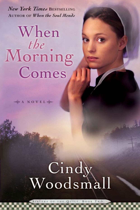**New York Times BESTSELLING AUTHOR OF When the Soul Mends** 

# When *the*<br>Morning Comes

mo A NOVEL com

# Cindy<br>Woodsmall

Воок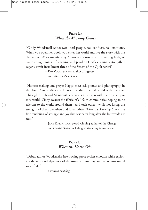# **Praise for**  *When the Morning Comes*

"Cindy Woodsmall writes *real*—real people, real conflicts, real emotions. When you open her book, you enter her world and live the story with the characters. *When the Morning Comes* is a journey of discovering faith, of overcoming trauma, of learning to depend on God's sustaining strength. I eagerly await installment three of the Sisters of the Quilt series!"

> —KIM VOGEL SAWYER, author of *Bygones* and *Where Willows Grow*

"Harness making and prayer Kapps meet cell phones and photography in this latest Cindy Woodsmall novel blending the old world with the new. Through Amish and Mennonite characters in tension with their contemporary world, Cindy weaves the fabric of all faith communities hoping to be relevant to the world around them—and each other—while not losing the strengths of their forefathers and foremothers.*When the Morning Comes* is a fine rendering of struggle and joy that resonates long after the last words are read."

> —JANE KIRKPATRICK, award-winning author of the Change and Cherish Series, including *A Tendering in the Storm*

# **Praise for**  *When the Heart Cries*

"Debut author Woodsmall's free-flowing prose evokes emotion while exploring the relational dynamics of the Amish community and its long-treasured way of life."

—*Christian Retailing*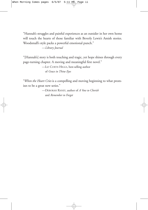"Hannah's struggles and painful experiences as an outsider in her own home will touch the hearts of those familiar with Beverly Lewis's Amish stories. Woodsmall's style packs a powerful emotional punch."

—*Library Journal*

"[Hannah's] story is both touching and tragic, yet hope shines through every page-turning chapter. A moving and meaningful first novel."

> —LIZ CURTIS HIGGS, best-selling author of *Grace in Thine Eyes*

"*When the Heart Cries* is a compelling and moving beginning to what promises to be a great new series."

> —DEBORAH RANEY, author of *A Vow to Cherish* and *Remember to Forget*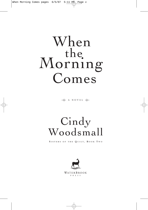# When the Morning Comes

mp A NOVEL com

# Cindy Woodsmall

**S ISTERS OF THE Q UILT , B OOK T W O**

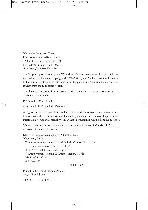WHEN THE MORNING COMES PUBLISHED BY WATERBROOK PRESS 12265 Oracle Boulevard, Suite 200 Colorado Springs, Colorado 80921 *A division of Random House Inc.*

The Scripture quotations on pages 249, 251, and 301 are taken from The Holy Bible: International Standard Version. Copyright © 1994–2007 by the ISV Foundation of Fullerton, California. All rights reserved internationally. The quotation of Galatians 6:7 on page 301 is taken from the King James Version.

The characters and events in this book are fictional, and any resemblance to actual persons or events is coincidental.

ISBN: 978-1-4000-7293-4

Copyright © 2007 by Cindy Woodsmall

All rights reserved. No part of this book may be reproduced or transmitted in any form or by any means, electronic or mechanical, including photocopying and recording, or by any information storage and retrieval system, without permission in writing from the publisher.

WATERBROOK and its deer design logo are registered trademarks of WaterBrook Press, a division of Random House Inc.

Library of Congress Cataloging-in-Publication Data Woodsmall, Cindy. When the morning comes : a novel / Cindy Woodsmall. — 1st ed. p. cm. — (Sisters of the quilt ; bk. 2) ISBN 978-1-4000-7293-4 (alk. paper) 1. Amish women—Fiction. 2. Amish—Fiction. I. Title. PS3623.O678W475 2007 813'.6—dc22

2007015366

Printed in the United States of America 2007—First Edition

10 9 8 7 6 5 4 3 2 1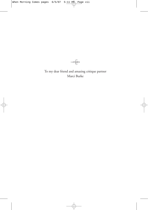

To my dear friend and amazing critique partner Marci Burke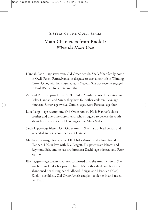## SISTERS OF THE QUILT SERIES

# **Main Characters from Book 1:** *When the Heart Cries*

- Hannah Lapp—age seventeen, Old Order Amish. She left her family home in Owl's Perch, Pennsylvania, in disgrace to start a new life in Winding Creek, Ohio, with her shunned aunt Zabeth. She was secretly engaged to Paul Waddell for several months.
- Zeb and Ruth Lapp—Hannah's Old Order Amish parents. In addition to Luke, Hannah, and Sarah, they have four other children: Levi, age nineteen; Esther, age twelve; Samuel, age seven; Rebecca, age four.
- Luke Lapp—age twenty-one, Old Order Amish. He is Hannah's eldest brother and one-time close friend, who struggled to believe the truth about his sister's tragedy. He is engaged to Mary Yoder.
- Sarah Lapp—age fifteen, Old Order Amish. She is a troubled person and generated rumors about her sister Hannah.
- Matthew Esh—age twenty-one, Old Order Amish, and a loyal friend to Hannah. He's in love with Elle Leggett. His parents are Naomi and Raymond Esh, and he has two brothers: David, age thirteen, and Peter, age ten.
- Elle Leggett—age twenty-two, not confirmed into the Amish church. She was born to Englischer parents, but Elle's mother died, and her father abandoned her during her childhood. Abigail and Hezekiah (Kiah) Zook—a childless, Old Order Amish couple—took her in and raised her Plain.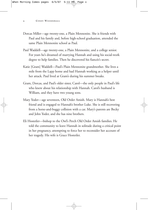- Dorcas Miller—age twenty-one, a Plain Mennonite. She is friends with Paul and his family and, before high-school graduation, attended the same Plain Mennonite school as Paul.
- Paul Waddell—age twenty-one, a Plain Mennonite, and a college senior. For years he's dreamed of marrying Hannah and using his social-work degree to help families. Then he discovered his fiancée's secret.
- Katie [Gram] Waddell—Paul's Plain Mennonite grandmother. She lives a mile from the Lapp home and had Hannah working as a helper until her attack. Paul lived at Gram's during his summer breaks.
- Gram, Dorcas, and Paul's older sister, Carol—the only people in Paul's life who knew about his relationship with Hannah. Carol's husband is William, and they have two young sons.
- Mary Yoder—age seventeen, Old Order Amish. Mary is Hannah's best friend and is engaged to Hannah's brother Luke. She is still recovering from a horse-and-buggy collision with a car. Mary's parents are Becky and John Yoder, and she has nine brothers.
- Eli Hostetler—bishop to the Owl's Perch Old Order Amish families. He told the community to leave Hannah in solitude during a critical point in her pregnancy, attempting to force her to reconsider her account of her tragedy. His wife is Grace Hostetler.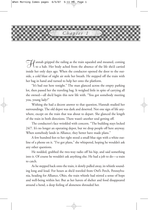

 $\mathcal{F}/\mathcal{F}$  annah gripped the railing as the train squealed and moaned, coming to a halt. Her body ached from the absence of the life she'd carried inside her only days ago. When the conductor opened the door to the outside, a cold blast of night air stole her breath. He stepped off the train with her bag in hand and turned to help her onto the platform.

"It's bad out here tonight." The man glanced across the empty parking lot, then passed her the traveling bag. It weighed little in spite of carrying all she owned—all she'd begin this new life with. "You got somebody meeting you, young lady?"

Wishing she had a decent answer to that question, Hannah studied her surroundings. The old depot was dark and deserted. Not one sign of life anywhere, except on the train that was about to depart. She glanced the length of the train in both directions. There wasn't another soul getting off.

The conductor's face wrinkled with concern. "The building stays locked 24/7. It's no longer an operating depot, but we drop people off here anyway. When somebody lands in Alliance, they better have made plans."

A few hundred feet to her right stood a small blue sign with a white outline of a phone on it. "I've got plans," she whispered, hoping he wouldn't ask any other questions.

He nodded, grabbed the two-way radio off his hip, and said something into it. Of course he wouldn't ask anything else. He had a job to do—a train to catch.

As he stepped back onto the train, it slowly pulled away, its whistle sounding long and loud. For hours as she'd traveled from Owl's Perch, Pennsylvania, heading for Alliance, Ohio, the train whistle had stirred a sense of hope and well-being within her. But as her haven of shelter and food disappeared around a bend, a deep feeling of aloneness shrouded her.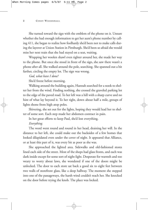She turned toward the sign with the emblem of the phone on it. Unsure whether she had enough information to get her aunt's phone number by calling 411, she began to realize how foolhardy she'd been not to make calls during the layover at Union Station in Pittsburgh. She'd been so afraid she would miss her next train that she had stayed on a seat, waiting.

Wrapping her woolen shawl even tighter around her, she made her way to the phone. But once she stood in front of the sign, she saw there wasn't a phone after all. She walked around the pole, searching. She spanned out a bit farther, circling the empty lot. The sign was wrong.

#### *God, what have I done?*

She'd freeze before morning.

Walking around the building again, Hannah searched for a nook to shelter her from the wind. Finding nothing, she crossed the graveled parking lot to the edge of the paved road. To her left was a hill with a sharp curve and no hint of what lay beyond it. To her right, down about half a mile, groups of lights shone from high atop poles.

Shivering, she set out for the lights, hoping they would lead her to shelter of some sort. Each step made her abdomen contract in pain.

In her great efforts to keep Paul, she'd lost everything.

## *Everything.*

The word went round and round in her head, draining her will. In the distance to her left, she could make out the backsides of a few homes that looked dilapidated even under the cover of night. It appeared that Alliance, or at least this part of it, was every bit as poor as she was.

She approached the lighted area. Sidewalks and old-fashioned stores lined each side of the street. Most of the shops had glass fronts, and each was dark inside except for some sort of night-light. Desperate for warmth and too weary to worry about laws, she wondered if one of the doors might be unlocked. The door to each store sat back a good six to eight feet between two walls of storefront glass, like a deep hallway. The moment she stepped into one of the passageways, the harsh wind couldn't reach her. She knocked on the door before trying the knob. The place was locked.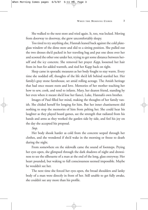She walked to the next store and tried again. It, too, was locked. Moving from doorway to doorway, she grew uncomfortably sleepy.

Too tired to try anything else, Hannah leaned back against the cold plateglass window of the dime store and slid to a sitting position. She pulled out the two dresses she'd packed in her traveling bag and put one dress over her and scooted the other one under her, trying to get some distance between herself and the icy concrete. She removed her prayer *Kapp,* loosened her hair from its bun for added warmth, and tied her Kapp back on tight.

Sleep came in sporadic measures as her body fought to stay warm. Every time she nodded off, thoughts of the life she'd left behind startled her. Her family's gray stone farmhouse, set amid rolling acreage. The Amish heritage that had once meant roots and love. Memories of her mother teaching her how to sew, cook, and tend to infants. Mary, her dearest friend, standing by her even when it meant she'd lose her fiancé, Luke, Hannah's own brother.

Images of Paul filled her mind, making the thoughts of her family vanish. She chided herself for longing for him. But her inner chastisement did nothing to stop the memories of him from pelting her. She could hear his laughter as they played board games, see the strength that radiated from his hands and arms as they worked the garden side by side, and feel his joy on the day she accepted his proposal.

### *Stop.*

Her body shook harder as cold from the concrete seeped through her clothes, and she wondered if she'd wake in the morning or freeze to death during the night.

From somewhere on the sidewalk came the sound of footsteps. Prying her eyes open, she glimpsed through the dark shadows of night and drowsiness to see the silhouette of a man at the end of the long, glass entryway. Her heart pounded, but waking to full consciousness seemed impossible. Maybe he wouldn't see her.

The next time she forced her eyes open, the broad shoulders and lanky body of a man were directly in front of her. Still unable to get fully awake, she couldn't see any more than his profile.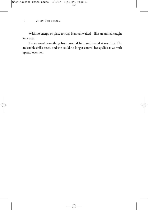With no energy or place to run, Hannah waited—like an animal caught in a trap.

He removed something from around him and placed it over her. The miserable chills eased, and she could no longer control her eyelids as warmth spread over her.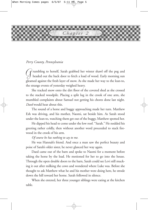

# *Perry County, Pennsylvania*

 $\theta$  rumbling to herself, Sarah grabbed her winter shawl off the peg and headed out the back door to fetch a load of wood. Early morning sun gleamed against the fresh layer of snow. As she made her way to the lean-to, the strange events of yesterday weighed heavy.

She tracked snow onto the dirt floor of the covered shed as she crossed to the stacked woodpile. Placing a split log in the crook of one arm, she mumbled complaints about Samuel not getting his chores done last night. *Daed* would hear about this.

The sound of a horse and buggy approaching made her turn. Matthew Esh was driving, and his mother, Naomi, sat beside him. As Sarah stood under the lean-to, watching them get out of the buggy, Matthew spotted her.

He dipped his head to come under the low roof. "Sarah." He nodded his greeting rather coldly, then without another word proceeded to stack firewood in the crook of his arm.

## *Of course he has nothing to say to me.*

He was Hannah's friend. And once a man saw the perfect beauty and poise of Sarah's older sister, he never glanced her way again.

Daed came out of the barn and spoke to Naomi for a moment before taking the horse by the lead. He motioned for her to go into the house. Through the open double doors to the barn, Sarah could see Levi still mucking it out after milking the cows and wondered where Luke was. Before she thought to ask Matthew what he and his mother were doing here, he strode down the hill toward her home. Sarah followed in silence.

When she entered, her three younger siblings were eating at the kitchen table.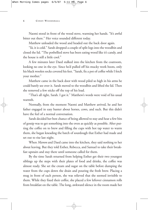Naomi stood in front of the wood stove, warming her hands. "It's awful bitter out there." Her voice sounded different today.

Matthew unloaded the wood and headed out the back door again.

"*Ya,* it is cold." Sarah dropped a couple of split logs into the woodbin and closed the lid. "The potbellied stove has been eating wood like it's candy, and the house is still a little cool."

A few minutes later Daed stalked into the kitchen from the coatroom, looking no one in the eye. Since he'd pulled off his mucky work boots, only his black woolen socks covered his feet. "Sarah, fix a pot of coffee while I fetch your mother."

Matthew came in the back door with wood piled so high in his arms he could barely see over it. Sarah moved to the woodbin and lifted the lid. Then she removed a few sticks off the top of his load.

"That's all right, Sarah. I got it." Matthew's words were void of his usual warmth.

Normally, from the moment Naomi and Matthew arrived, he and her father engaged in easy banter about horses, cows, and such. But this didn't have the feel of a normal conversation.

Sarah decided her best chance of being allowed to stay and hear a few bits of gossip was to get something into the oven as quickly as possible. After putting the coffee on to brew and filling the cups with hot tap water to warm them, she began kneading the batch of sourdough that Esther had made and set out to rise last night.

When *Mamm* and Daed came into the kitchen, they said nothing to her about leaving. But they told Esther, Rebecca, and Samuel to take their breakfast upstairs and stay there until someone called for them.

By the time Sarah returned from helping Esther get their two youngest siblings up the steps with their plates of food and drinks, the coffee was almost ready. She set the cream and sugar on the table before dumping the water from the cups down the drain and pouring the fresh brew. Placing a mug in front of each person, she was relieved that she seemed invisible to them. While they fixed their coffee, she placed a few leftover cinnamon rolls from breakfast on the table. The long, awkward silence in the room made her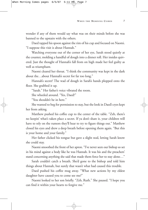wonder if any of them would say what was on their minds before she was banned to the upstairs with the others.

Daed tapped his spoon against the rim of his cup and focused on Naomi. "I suppose this visit is about Hannah."

Watching everyone out of the corner of her eye, Sarah stood quietly at the counter, molding a handful of dough into a dinner roll. Her insides quivered. Just the thought of Hannah's fall from on high made her feel guilty as well as triumphant.

Naomi cleared her throat. "I think the community was kept in the dark about the…about Hannah's secret for far too long."

Hannah's secret? The wad of dough in Sarah's hands plopped onto the floor. She grabbed it up.

"Sarah." Her father's voice vibrated the room.

She wheeled around. "Yes, Daed?"

"You shouldn't be in here."

She wanted to beg for permission to stay, but the look in Daed's eyes kept her from asking.

Matthew pushed his coffee cup to the center of the table. "Zeb, there's no keepin' what's taken place a secret. If ya don't share it, your children will have to rely on the rumors they'll hear to try to figure things out." Matthew closed his eyes and drew a deep breath before opening them again. "But this is your home and your family."

Her father clicked his tongue but gave a slight nod, letting Sarah know she could stay.

Naomi smoothed the front of her apron. "I've never seen our bishop so set in his mind against a body like he was Hannah. It was his and the preachers' stand concerning anything she said that made them force her to stay alone…"

Sarah couldn't catch a breath. She'd gone to the bishop and told him things about Hannah, but surely that wasn't what had caused this trouble.

Daed pushed his coffee mug away. "What new actions by my eldest daughter have caused you to come see me?"

Naomi looked to her son briefly. "Zeb, Ruth." She paused. "I hope you can find it within your hearts to forgive me."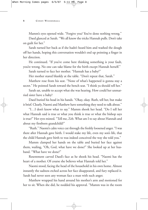Mamm's eyes opened wide. "Forgive you? You've done nothing wrong."

Daed glanced at Sarah. "We all know the tricks Hannah pulls. Don't take on guilt for her."

Sarah turned her back as if she hadn't heard him and washed the dough off her hands, hoping this conversation wouldn't end up pointing a finger in her direction.

He continued. "If you've come here thinking something is your fault, you're wrong. No one can take blame for the birth except Hannah herself."

Sarah turned to face her mother. "Hannah has a baby?"

Her mother stared blankly at the table. "Don't repeat that, Sarah."

Matthew rose from his seat. "None of what's happened is gonna stay a secret." He pointed Sarah toward the bench seat. "I think ya should tell her."

Sarah sat, unable to accept what she was hearing. How could her unmarried sister have a baby?

Daed buried his head in his hands. "Okay, okay. Ruth, tell her, but make it brief. Clearly, Naomi and Matthew have something they need to talk about."

"I…I don't know what to say." Mamm shook her head. "Do I tell her what Hannah said is true or what you think is true or what the bishop says is true?" Her eyes misted. "Tell me, Zeb. What am I to say about Hannah and about my firstborn grandchild?"

"Ruth." Naomi's calm voice cut through the freshly loosened anger. "I was there after Hannah gave birth. I would stake my life, even my son's life, that the child Hannah gave birth to was indeed conceived the way she told you."

Mamm clamped her hands on the table and buried her face against them, wailing, "Oh, God, what have we done?" She looked up at her husband. "What have we done?"

Resentment carved Daed's face as he shook his head. "Naomi has the heart of a mother. Of course she believes what Hannah told her."

Naomi stood, facing the head of the household in his own home. Almost instantly the sadness etched across her face disappeared, and fury replaced it. Sarah had never seen any woman face a man with such anger.

Matthew wrapped his hand around his mother's arm and motioned for her to sit. When she did, he nodded his approval. "Mamm was in the room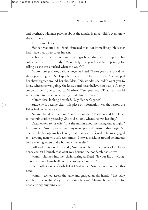and overheard Hannah praying about the attack. Hannah didn't even know she was there."

The room fell silent.

Hannah was attacked? Sarah dismissed that idea immediately. Her sister had made that up to cover her sin.

Zeb shoved the teaspoon into the sugar bowl, dumped a scoop into his coffee, and stirred it briskly. "More likely that you heard her repenting for telling us she was attacked when she wasn't."

Naomi rose, pointing a shaky finger at Daed. "Don't you dare spread lies about your daughter, Zeb Lapp, because you can't face the truth." She snapped her shawl tighter around her shoulders. "No wonder she didn't want you to know where she was going. She knew you'd never believe her; that you'd only condemn her." She turned to Matthew. "Get your coat. This man would rather listen to the sounds roaring inside his own head."

Mamm rose, looking horrified. "My Hannah's gone?"

Suddenly it became clear; this piece of information was the reason the Eshes had come here today.

Naomi placed her hand on Mamm's shoulder. "Matthew and I took her to the train station yesterday. She told no one where she was heading."

Daed looked to his wife. "But the rumors about her being out at night," he mumbled. "And I saw her with my own eyes in the arms of that *Englischer* doctor. The bishop saw her kissing that man she confessed to being engaged to—a young man who isn't even Amish. She was sneaking around behind our backs mailing letters and who knows what else."

Stiff and mute on the outside, Sarah was relieved there was a lot of evidence against Hannah that went way beyond the pot Sarah had stirred.

Mamm plunked into her chair, staring at Daed. "Is your list of wrongdoings against Hannah all you have to say about this?"

Her mother's look of disbelief at Daed rattled Sarah even more than this news.

Mamm reached across the table and grasped Sarah's hands. "The baby was born the night Mary came to stay here—" Mamm broke into sobs, unable to say anything else.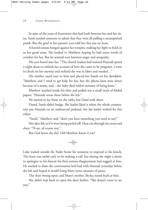In spite of the years of frustration that had built between her and her sister, Sarah needed someone to admit that they were all pulling a meanspirited prank. But the grief in her parents' eyes told her this was no hoax.

A horrid scream banged against her temples, making her fight to hold on to her good sense. She looked to Matthew, hoping he had some words of comfort for her. But he seemed torn between anger and sympathy.

His eyes bored into her. "The church leaders had insisted Hannah spend a night alone to rethink her account of how she came to be pregnant. I went to check on her anyway and realized she was in labor and needed…"

His mother eased over to him and placed her hands on his shoulders. "Matthew and I tried to get help for her, but the phone lines were down because of a storm, and...the baby died within minutes of being born."

Matthew reached inside his shirt and pulled out a small stack of folded papers. "Hannah wrote these before she left."

He started to lay them on the table, but Daed took them.

Dazed, Sarah didn't budge. She hadn't liked it when the whole community put Hannah on an undeserved pedestal, but she hadn't wished for this either.

"Sarah," Matthew said, "don't you have something you need to say?"

Her skin felt as if it were being peeled off. Heat ran through her arms and chest. "N-no, of course not."

But God knew she did. Did Matthew know it too?



Luke waited outside the Yoder home for someone to respond to his knock. The hour was awful early to be making a call, but during the night a desire to apologize to his fiancée for their serious disagreement had nagged at him. He needed to share the conversation he'd had with Hannah yesterday before she left and hoped it would bring Mary some measure of peace.

The door swung open, and Mary's mother, Becky, stared back at him.

She didn't step back or open the door farther. "She doesn't want to see you."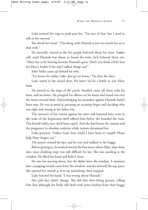Luke resisted the urge to push past her. "I'm sure of that, but I need to talk to her anyway."

She shook her head. "This thing with Hannah is just too much for us to deal with."

He inwardly winced at the lies people believed about his sister. Sadder still, until Hannah was about to board the train, he'd believed them too. "Mary has to be hurting because Hannah's gone. Don't you think it'd be best for Mary's health if she and I talked things out?"

John Yoder came up behind his wife.

"Go home for today, Luke. Just go on home." He shut the door.

Luke stared at the closed door. He knew it'd be a battle to win Mary back.

He moved to the steps of the porch, brushed snow off them with his boot, and sat down. He propped his elbows on his knees and stared out over the snow-covered land. Acknowledging his prejudice against Hannah hadn't been easy. He was as good at pointing an accusing finger and deciding who was right and wrong as his father was.

The memory of his venom against his sister still haunted him, even in the wake of the forgiveness she'd offered him before she boarded the train. The horrid reality was, she'd been raped. And she had borne the trauma and the pregnancy in absolute isolation while rumors devastated her.

Luke groaned. "Father God, how could I have been so stupid? Please help Mary forgive me."

The prayer crossed his lips, and he rose and walked to the buggy.

Before getting in, he looked toward the first story, where Mary slept these days since climbing steps was still difficult for her. She was standing at the window. He lifted his hand and held it there.

He saw her moving about, but she didn't leave the window. A moment later a popping sound came from the window, and she lowered the top pane. She opened her mouth as if to say something, then stopped.

Luke lowered his hand. "I was wrong about Hannah."

Her pale face didn't change. She did that chin-tilting gesture, telling him that although her body still dealt with some frailties from their buggy